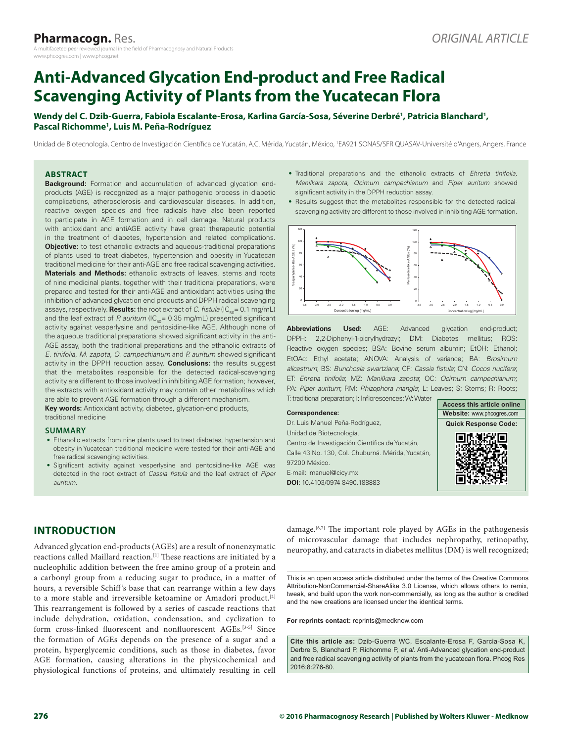# **Anti‑Advanced Glycation End‑product and Free Radical Scavenging Activity of Plants from the Yucatecan Flora**

### Wendy del C. Dzib-Guerra, Fabiola Escalante-Erosa, Karlina García-Sosa, Séverine Derbré<sup>1</sup>, Patricia Blanchard<sup>1</sup>, **Pascal Richomme1 , Luis M. Peña-Rodríguez**

Unidad de Biotecnología, Centro de Investigación Científica de Yucatán, A.C. Mérida, Yucatán, México, 1 EA921 SONAS/SFR QUASAV-Université d'Angers, Angers, France

#### **ABSTRACT**

**Background:** Formation and accumulation of advanced glycation endproducts (AGE) is recognized as a major pathogenic process in diabetic complications, atherosclerosis and cardiovascular diseases. In addition, reactive oxygen species and free radicals have also been reported to participate in AGE formation and in cell damage. Natural products with antioxidant and antiAGE activity have great therapeutic potential in the treatment of diabetes, hypertension and related complications. **Objective:** to test ethanolic extracts and aqueous-traditional preparations of plants used to treat diabetes, hypertension and obesity in Yucatecan traditional medicine for their anti-AGE and free radical scavenging activities. **Materials and Methods:** ethanolic extracts of leaves, stems and roots of nine medicinal plants, together with their traditional preparations, were prepared and tested for their anti-AGE and antioxidant activities using the inhibition of advanced glycation end products and DPPH radical scavenging assays, respectively. **Results:** the root extract of *C. fistula* (IC<sub>50</sub>= 0.1 mg/mL) and the leaf extract of P. auritum ( $IC_{50}= 0.35$  mg/mL) presented significant activity against vesperlysine and pentosidine-like AGE. Although none of the aqueous traditional preparations showed significant activity in the anti-AGE assay, both the traditional preparations and the ethanolic extracts of *E. tinifolia*, *M. zapota*, *O. campechianum* and *P. auritum* showed significant activity in the DPPH reduction assay. **Conclusions:** the results suggest that the metabolites responsible for the detected radical-scavenging activity are different to those involved in inhibiting AGE formation; however, the extracts with antioxidant activity may contain other metabolites which are able to prevent AGE formation through a different mechanism.

**Key words:** Antioxidant activity, diabetes, glycation-end products, traditional medicine

#### **SUMMARY**

- Ethanolic extracts from nine plants used to treat diabetes, hypertension and obesity in Yucatecan traditional medicine were tested for their anti-AGE and free radical scavenging activities.
- Significant activity against vesperlysine and pentosidine-like AGE was detected in the root extract of *Cassia fistula* and the leaf extract of *Piper auritum*.
- Traditional preparations and the ethanolic extracts of *Ehretia tinifolia, Manilkara zapota, Ocimum campechianum* and *Piper auritum* showed significant activity in the DPPH reduction assay.
- Results suggest that the metabolites responsible for the detected radicalscavenging activity are different to those involved in inhibiting AGE formation.



**Abbreviations Used:** AGE: Advanced glycation end-product; DPPH: 2,2-Diphenyl-1-picrylhydrazyl; DM: Diabetes mellitus; ROS: Reactive oxygen species; BSA: Bovine serum albumin; EtOH: Ethanol; EtOAc: Ethyl acetate; ANOVA: Analysis of variance; BA: *Brosimum alicastrum*; BS: *Bunchosia swartziana*; CF: *Cassia fistula*; CN: *Cocos nucifera*; ET: *Ehretia tinifolia*; MZ: *Manilkara zapota*; OC: *Ocimum campechianum*; PA: *Piper auritum*; RM: *Rhizophora mangle*; L: Leaves; S: Stems; R: Roots; T: traditional preparation; I: Inflorescences; W: Water

|                                                   | Access this article online  |
|---------------------------------------------------|-----------------------------|
| Correspondence:                                   | Website: www.phcogres.com   |
| Dr. Luis Manuel Peña-Rodríguez,                   | <b>Quick Response Code:</b> |
| Unidad de Biotecnología,                          |                             |
| Centro de Investigación Científica de Yucatán,    |                             |
| Calle 43 No. 130, Col. Chuburná. Mérida, Yucatán, |                             |
| 97200 México.                                     |                             |
| E-mail: Imanuel@cicy.mx                           |                             |
| DOI: 10.4103/0974-8490.188883                     |                             |
|                                                   |                             |

# **INTRODUCTION**

Advanced glycation end‑products (AGEs) are a result of nonenzymatic reactions called Maillard reaction.<sup>[1]</sup> These reactions are initiated by a nucleophilic addition between the free amino group of a protein and a carbonyl group from a reducing sugar to produce, in a matter of hours, a reversible Schiff's base that can rearrange within a few days to a more stable and irreversible ketoamine or Amadori product.[2] This rearrangement is followed by a series of cascade reactions that include dehydration, oxidation, condensation, and cyclization to form cross-linked fluorescent and nonfluorescent AGEs.<sup>[3-5]</sup> Since the formation of AGEs depends on the presence of a sugar and a protein, hyperglycemic conditions, such as those in diabetes, favor AGE formation, causing alterations in the physicochemical and physiological functions of proteins, and ultimately resulting in cell

damage.<sup>[6,7]</sup> The important role played by AGEs in the pathogenesis of microvascular damage that includes nephropathy, retinopathy, neuropathy, and cataracts in diabetes mellitus (DM) is well recognized;

This is an open access article distributed under the terms of the Creative Commons Attribution-NonCommercial-ShareAlike 3.0 License, which allows others to remix, tweak, and build upon the work non‑commercially, as long as the author is credited and the new creations are licensed under the identical terms.

**For reprints contact:** reprints@medknow.com

**Cite this article as:** Dzib-Guerra WC, Escalante-Erosa F, Garcia-Sosa K, Derbre S, Blanchard P, Richomme P, *et al.* Anti-Advanced glycation end-product and free radical scavenging activity of plants from the yucatecan flora. Phcog Res 2016;8:276-80.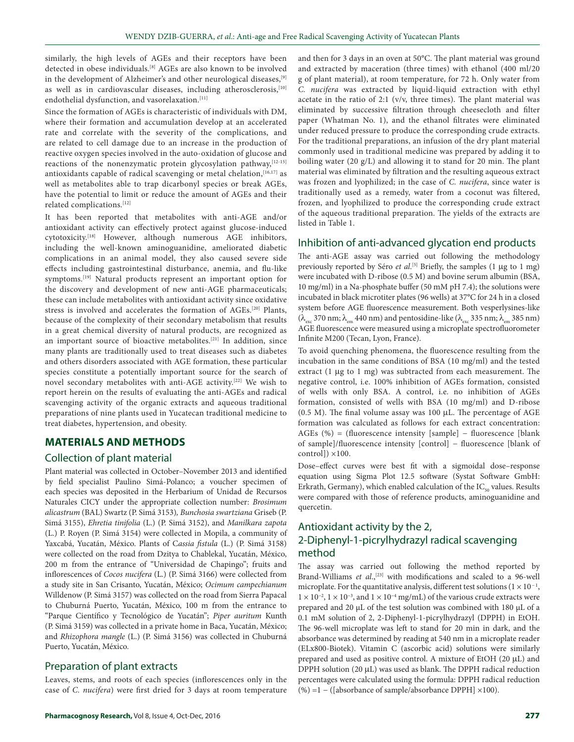similarly, the high levels of AGEs and their receptors have been detected in obese individuals.[8] AGEs are also known to be involved in the development of Alzheimer's and other neurological diseases,[9] as well as in cardiovascular diseases, including atherosclerosis,<sup>[10]</sup> endothelial dysfunction, and vasorelaxation.<sup>[11]</sup>

Since the formation of AGEs is characteristic of individuals with DM, where their formation and accumulation develop at an accelerated rate and correlate with the severity of the complications, and are related to cell damage due to an increase in the production of reactive oxygen species involved in the auto‑oxidation of glucose and reactions of the nonenzymatic protein glycosylation pathway, [12-15] antioxidants capable of radical scavenging or metal chelation, [16,17] as well as metabolites able to trap dicarbonyl species or break AGEs, have the potential to limit or reduce the amount of AGEs and their related complications.[12]

It has been reported that metabolites with anti‑AGE and/or antioxidant activity can effectively protect against glucose-induced cytotoxicity.[18] However, although numerous AGE inhibitors, including the well-known aminoguanidine, ameliorated diabetic complications in an animal model, they also caused severe side effects including gastrointestinal disturbance, anemia, and flu-like symptoms.[19] Natural products represent an important option for the discovery and development of new anti-AGE pharmaceuticals; these can include metabolites with antioxidant activity since oxidative stress is involved and accelerates the formation of AGEs.[20] Plants, because of the complexity of their secondary metabolism that results in a great chemical diversity of natural products, are recognized as an important source of bioactive metabolites.<sup>[21]</sup> In addition, since many plants are traditionally used to treat diseases such as diabetes and others disorders associated with AGE formation, these particular species constitute a potentially important source for the search of novel secondary metabolites with anti-AGE activity.<sup>[22]</sup> We wish to report herein on the results of evaluating the anti‑AGEs and radical scavenging activity of the organic extracts and aqueous traditional preparations of nine plants used in Yucatecan traditional medicine to treat diabetes, hypertension, and obesity.

# **MATERIALS AND METHODS**

# Collection of plant material

Plant material was collected in October–November 2013 and identified by field specialist Paulino Simá‑Polanco; a voucher specimen of each species was deposited in the Herbarium of Unidad de Recursos Naturales CICY under the appropriate collection number: *Brosimum alicastrum* (BAL) Swartz (P. Simá 3153)*, Bunchosia swartziana* Griseb (P. Simá 3155), *Ehretia tinifolia* (L.) (P. Simá 3152), and *Manilkara zapota* (L.) P. Royen (P. Simá 3154) were collected in Mopila, a community of Yaxcabá, Yucatán, México. Plants of C*assia fistula* (L.) (P. Simá 3158) were collected on the road from Dzitya to Chablekal, Yucatán, México, 200 m from the entrance of "Universidad de Chapingo"; fruits and inflorescences of *Cocos nucifera* (L.) (P. Simá 3166) were collected from a study site in San Crisanto, Yucatán, México; *Ocimum campechianum* Willdenow (P. Simá 3157) was collected on the road from Sierra Papacal to Chuburná Puerto, Yucatán, México, 100 m from the entrance to "Parque Científico y Tecnológico de Yucatán"; *Piper auritum* Kunth (P. Simá 3159) was collected in a private home in Baca, Yucatán, México; and *Rhizophora mangle* (L.) (P. Simá 3156) was collected in Chuburná Puerto, Yucatán, México.

# Preparation of plant extracts

Leaves, stems, and roots of each species (inflorescences only in the case of *C. nucifera*) were first dried for 3 days at room temperature and then for 3 days in an oven at 50°C. The plant material was ground and extracted by maceration (three times) with ethanol (400 ml/20 g of plant material), at room temperature, for 72 h. Only water from *C. nucifera* was extracted by liquid‑liquid extraction with ethyl acetate in the ratio of 2:1 (v/v, three times). The plant material was eliminated by successive filtration through cheesecloth and filter paper (Whatman No. 1), and the ethanol filtrates were eliminated under reduced pressure to produce the corresponding crude extracts. For the traditional preparations, an infusion of the dry plant material commonly used in traditional medicine was prepared by adding it to boiling water (20 g/L) and allowing it to stand for 20 min. The plant material was eliminated by filtration and the resulting aqueous extract was frozen and lyophilized; in the case of *C. nucifera*, since water is traditionally used as a remedy, water from a coconut was filtered, frozen, and lyophilized to produce the corresponding crude extract of the aqueous traditional preparation. The yields of the extracts are listed in Table 1.

#### Inhibition of anti‑advanced glycation end products

The anti-AGE assay was carried out following the methodology previously reported by Séro *et al*. [5] Briefly, the samples (1 µg to 1 mg) were incubated with D-ribose (0.5 M) and bovine serum albumin (BSA, 10 mg/ml) in a Na‑phosphate buffer (50 mM pH 7.4); the solutions were incubated in black microtiter plates (96 wells) at 37°C for 24 h in a closed system before AGE fluorescence measurement. Both vesperlysines-like  $(\lambda_{\text{esc}} 370 \text{ nm}; \lambda_{\text{em}} 440 \text{ nm})$  and pentosidine-like  $(\lambda_{\text{esc}} 335 \text{ nm}; \lambda_{\text{em}} 385 \text{ nm})$ AGE fluorescence were measured using a microplate spectrofluorometer Infinite M200 (Tecan, Lyon, France).

To avoid quenching phenomena, the fluorescence resulting from the incubation in the same conditions of BSA (10 mg/ml) and the tested extract (1 µg to 1 mg) was subtracted from each measurement. The negative control, i.e. 100% inhibition of AGEs formation, consisted of wells with only BSA. A control, i.e. no inhibition of AGEs formation, consisted of wells with BSA (10 mg/ml) and D-ribose (0.5 M). The final volume assay was 100 µL. The percentage of AGE formation was calculated as follows for each extract concentration: AGEs (%) = (fluorescence intensity [sample] − fluorescence [blank of sample]/fluorescence intensity [control] − fluorescence [blank of  $control]$ ) ×100.

Dose–effect curves were best fit with a sigmoidal dose–response equation using Sigma Plot 12.5 software (Systat Software GmbH: Erkrath, Germany), which enabled calculation of the  $IC_{50}$  values. Results were compared with those of reference products, aminoguanidine and quercetin.

# Antioxidant activity by the 2, 2‑Diphenyl‑1‑picrylhydrazyl radical scavenging method

The assay was carried out following the method reported by Brand-Williams *et al.*,<sup>[23]</sup> with modifications and scaled to a 96-well microplate. For the quantitative analysis, different test solutions ( $1 \times 10^{-1}$ ,  $1 \times 10^{-2}$ ,  $1 \times 10^{-3}$ , and  $1 \times 10^{-4}$  mg/mL) of the various crude extracts were prepared and 20 µL of the test solution was combined with 180 µL of a 0.1 mM solution of 2, 2-Diphenyl-1-picrylhydrazyl (DPPH) in EtOH. The 96‑well microplate was left to stand for 20 min in dark, and the absorbance was determined by reading at 540 nm in a microplate reader (ELx800‑Biotek). Vitamin C (ascorbic acid) solutions were similarly prepared and used as positive control. A mixture of EtOH (20 µL) and DPPH solution (20  $\mu$ L) was used as blank. The DPPH radical reduction percentages were calculated using the formula: DPPH radical reduction (%) =1 − ([absorbance of sample/absorbance DPPH] ×100).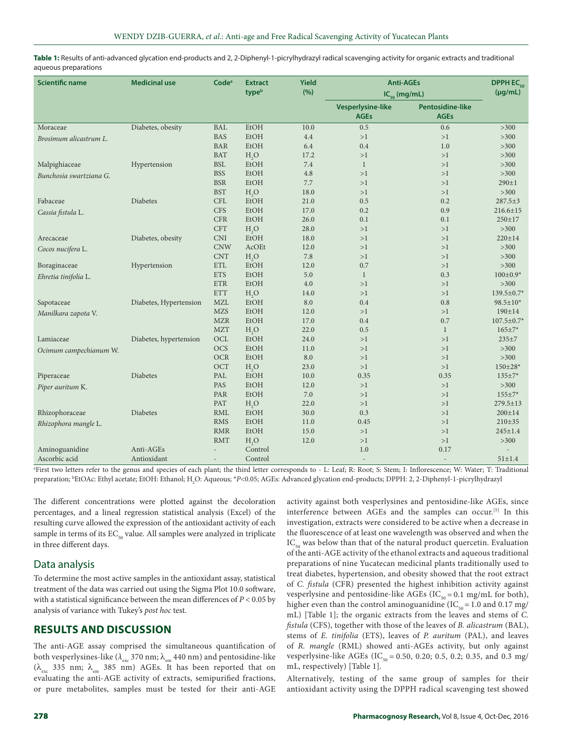Table 1: Results of anti-advanced glycation end-products and 2, 2-Diphenyl-1-picrylhydrazyl radical scavenging activity for organic extracts and traditional aqueous preparations

| <b>Scientific name</b>  | <b>Medicinal use</b>   | Code <sup>a</sup>        | <b>Extract</b><br>typeb | <b>Yield</b><br>(%) | <b>Anti-AGEs</b>                        |                                        | <b>DPPHEC<sub>50</sub></b><br>$(\mu g/mL)$ |
|-------------------------|------------------------|--------------------------|-------------------------|---------------------|-----------------------------------------|----------------------------------------|--------------------------------------------|
|                         |                        |                          |                         |                     | $IC_{50}$ (mg/mL)                       |                                        |                                            |
|                         |                        |                          |                         |                     | <b>Vesperlysine-like</b><br><b>AGEs</b> | <b>Pentosidine-like</b><br><b>AGEs</b> |                                            |
| Moraceae                | Diabetes, obesity      | BAL                      | EtOH                    | 10.0                | 0.5                                     | 0.6                                    | $>300$                                     |
| Brosimum alicastrum L.  |                        | <b>BAS</b>               | EtOH                    | 4.4                 | >1                                      | >1                                     | $>300$                                     |
|                         |                        | <b>BAR</b>               | EtOH                    | 6.4                 | 0.4                                     | 1.0                                    | $>300$                                     |
|                         |                        | <b>BAT</b>               | H <sub>2</sub> O        | 17.2                | >1                                      | >1                                     | $>300$                                     |
| Malpighiaceae           | Hypertension           | <b>BSL</b>               | EtOH                    | 7.4                 | $\mathbf{1}$                            | >1                                     | $>300$                                     |
| Bunchosia swartziana G. |                        | <b>BSS</b>               | EtOH                    | 4.8                 | >1                                      | >1                                     | $>300$                                     |
|                         |                        | <b>BSR</b>               | EtOH                    | 7.7                 | >1                                      | >1                                     | $290 \pm 1$                                |
|                         |                        | <b>BST</b>               | H <sub>2</sub> O        | 18.0                | >1                                      | >1                                     | $>300$                                     |
| Fabaceae                | Diabetes               | <b>CFL</b>               | EtOH                    | 21.0                | 0.5                                     | 0.2                                    | $287.5 \pm 3$                              |
| Cassia fistula L.       |                        | <b>CFS</b>               | EtOH                    | 17.0                | 0.2                                     | 0.9                                    | $216.6 \pm 15$                             |
|                         |                        | <b>CFR</b>               | EtOH                    | 26.0                | 0.1                                     | 0.1                                    | $250 \pm 17$                               |
|                         |                        | <b>CFT</b>               | H <sub>2</sub> O        | 28.0                | >1                                      | >1                                     | $>300$                                     |
| Arecaceae               | Diabetes, obesity      | <b>CNI</b>               | EtOH                    | 18.0                | >1                                      | >1                                     | $220 \pm 14$                               |
| Cocos nucifera L.       |                        | <b>CNW</b>               | AcOEt                   | 12.0                | >1                                      | >1                                     | $>300$                                     |
|                         |                        | <b>CNT</b>               | H <sub>2</sub> O        | 7.8                 | >1                                      | >1                                     | >300                                       |
| Boraginaceae            | Hypertension           | <b>ETL</b>               | EtOH                    | 12.0                | 0.7                                     | >1                                     | $>300$                                     |
| Ehretia tinifolia L.    |                        | <b>ETS</b>               | EtOH                    | 5.0                 | 1                                       | 0.3                                    | $100 \pm 0.9*$                             |
|                         |                        | $\operatorname{ETR}$     | EtOH                    | 4.0                 | >1                                      | >1                                     | $>300$                                     |
|                         |                        | $\operatorname{ETT}$     | H <sub>2</sub> O        | 14.0                | >1                                      | >1                                     | 139.5±0.7*                                 |
| Sapotaceae              | Diabetes, Hypertension | <b>MZL</b>               | EtOH                    | 8.0                 | 0.4                                     | 0.8                                    | $98.5 \pm 10^*$                            |
| Manilkara zapota V.     |                        | <b>MZS</b>               | EtOH                    | 12.0                | >1                                      | >1                                     | 190±14                                     |
|                         |                        | <b>MZR</b>               | EtOH                    | 17.0                | 0.4                                     | 0.7                                    | $107.5 \pm 0.7*$                           |
|                         |                        | <b>MZT</b>               | H <sub>2</sub> O        | 22.0                | 0.5                                     | $\mathbf{1}$                           | $165 \pm 7*$                               |
| Lamiaceae               | Diabetes, hypertension | $\rm OCL$                | EtOH                    | 24.0                | >1                                      | >1                                     | $235 + 7$                                  |
| Ocimum campechianum W.  |                        | <b>OCS</b>               | EtOH                    | 11.0                | >1                                      | >1                                     | $>300$                                     |
|                         |                        | <b>OCR</b>               | EtOH                    | 8.0                 | >1                                      | >1                                     | $>300$                                     |
|                         |                        | OCT                      | H <sub>2</sub> O        | 23.0                | >1                                      | >1                                     | $150 \pm 28$ *                             |
| Piperaceae              | Diabetes               | PAL                      | EtOH                    | 10.0                | 0.35                                    | 0.35                                   | $135 \pm 7*$                               |
| Piper auritum K.        |                        | PAS                      | EtOH                    | 12.0                | >1                                      | >1                                     | $>300$                                     |
|                         |                        | PAR                      | EtOH                    | 7.0                 | >1                                      | >1                                     | $155 \pm 7*$                               |
|                         |                        | PAT                      | H <sub>2</sub> O        | 22.0                | >1                                      | >1                                     | $279.5 \pm 13$                             |
| Rhizophoraceae          | Diabetes               | <b>RML</b>               | EtOH                    | 30.0                | 0.3                                     | >1                                     | $200 \pm 14$                               |
| Rhizophora mangle L.    |                        | <b>RMS</b>               | EtOH                    | 11.0                | 0.45                                    | >1                                     | 210±35                                     |
|                         |                        | <b>RMR</b>               | EtOH                    | 15.0                | >1                                      | >1                                     | $245 \pm 1.4$                              |
|                         |                        | <b>RMT</b>               | H <sub>2</sub> O        | 12.0                | >1                                      | >1                                     | $>300$                                     |
| Aminoguanidine          | Anti-AGEs              |                          | Control                 |                     | 1.0                                     | 0.17                                   |                                            |
| Ascorbic acid           | Antioxidant            | $\overline{\phantom{a}}$ | Control                 |                     |                                         |                                        | $51 \pm 1.4$                               |

a First two letters refer to the genus and species of each plant; the third letter corresponds to ‑ L: Leaf; R: Root; S: Stem; I: Inflorescence; W: Water; T: Traditional preparation; <sup>b</sup>EtOAc: Ethyl acetate; EtOH: Ethanol; H<sub>2</sub>O: Aqueous; \*P<0.05; AGEs: Advanced glycation end-products; DPPH: 2, 2‑Diphenyl‑1‑picrylhydrazyl

The different concentrations were plotted against the decoloration percentages, and a lineal regression statistical analysis (Excel) of the resulting curve allowed the expression of the antioxidant activity of each sample in terms of its  $EC_{50}$  value. All samples were analyzed in triplicate in three different days.

# Data analysis

To determine the most active samples in the antioxidant assay, statistical treatment of the data was carried out using the Sigma Plot 10.0 software, with a statistical significance between the mean differences of *P* < 0.05 by analysis of variance with Tukey's *post hoc* test.

# **RESULTS AND DISCUSSION**

The anti-AGE assay comprised the simultaneous quantification of both vesperlysines-like ( $\lambda_{\rm exc}$ 370 nm;  $\lambda_{\rm em}$ 440 nm) and pentosidine-like ( $\lambda_{\text{exc}}$  335 nm;  $\lambda_{\text{em}}$  385 nm) AGEs. It has been reported that on evaluating the anti-AGE activity of extracts, semipurified fractions, or pure metabolites, samples must be tested for their anti-AGE

activity against both vesperlysines and pentosidine‑like AGEs, since interference between AGEs and the samples can occur.[5] In this investigation, extracts were considered to be active when a decrease in the fluorescence of at least one wavelength was observed and when the  $IC_{50}$  was below than that of the natural product quercetin. Evaluation of the anti‑AGE activity of the ethanol extracts and aqueous traditional preparations of nine Yucatecan medicinal plants traditionally used to treat diabetes, hypertension, and obesity showed that the root extract of *C. fistula* (CFR) presented the highest inhibition activity against vesperlysine and pentosidine-like AGEs ( $IC_{50} = 0.1$  mg/mL for both), higher even than the control aminoguanidine (IC $_{50}$  = 1.0 and 0.17 mg/ mL) [Table 1]; the organic extracts from the leaves and stems of *C. fistula* (CFS), together with those of the leaves of *B. alicastrum* (BAL), stems of *E. tinifolia* (ETS), leaves of *P. auritum* (PAL), and leaves of *R. mangle* (RML) showed anti‑AGEs activity, but only against vesperlysine-like AGEs (IC<sub>50</sub> = 0.50, 0.20; 0.5, 0.2; 0.35, and 0.3 mg/ mL, respectively) [Table 1].

Alternatively, testing of the same group of samples for their antioxidant activity using the DPPH radical scavenging test showed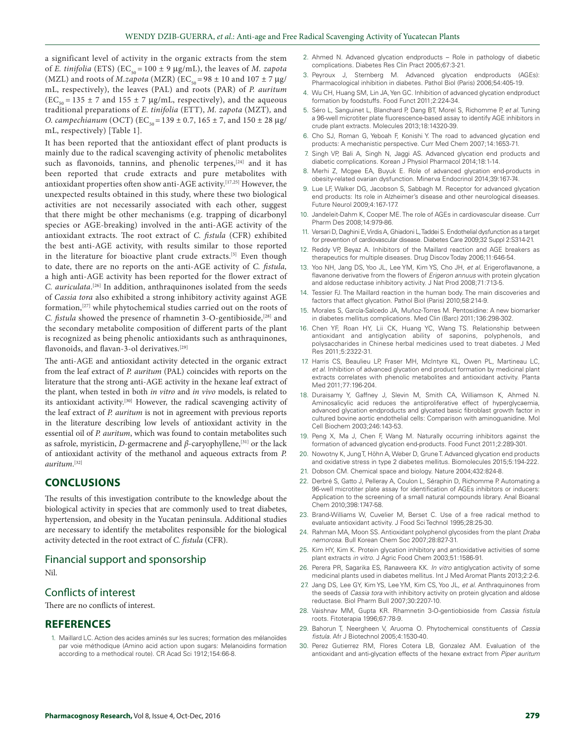a significant level of activity in the organic extracts from the stem of *E. tinifolia* (ETS) (EC<sub>50</sub> = 100  $\pm$  9 µg/mL), the leaves of *M. zapota* (MZL) and roots of *M.zapota* (MZR) (EC<sub>50</sub> = 98  $\pm$  10 and 107  $\pm$  7 µg/ mL, respectively), the leaves (PAL) and roots (PAR) of *P. auritum*  $(EC_{50} = 135 \pm 7 \text{ and } 155 \pm 7 \text{ µg/mL},$  respectively), and the aqueous traditional preparations of *E. tinifolia* (ETT), *M. zapota* (MZT)*,* and *O. campechianum* (OCT) (EC<sub>50</sub> = 139  $\pm$  0.7, 165  $\pm$  7, and 150  $\pm$  28 µg/ mL, respectively) [Table 1].

It has been reported that the antioxidant effect of plant products is mainly due to the radical scavenging activity of phenolic metabolites such as flavonoids, tannins, and phenolic terpenes,<sup>[24]</sup> and it has been reported that crude extracts and pure metabolites with antioxidant properties often show anti‑AGE activity.[17,25] However, the unexpected results obtained in this study, where these two biological activities are not necessarily associated with each other, suggest that there might be other mechanisms (e.g. trapping of dicarbonyl species or AGE-breaking) involved in the anti-AGE activity of the antioxidant extracts. The root extract of *C. fistula* (CFR) exhibited the best anti‑AGE activity, with results similar to those reported in the literature for bioactive plant crude extracts.<sup>[5]</sup> Even though to date, there are no reports on the anti‑AGE activity of *C. fistula,* a high anti‑AGE activity has been reported for the flower extract of *C. auriculata*. [26] In addition, anthraquinones isolated from the seeds of *Cassia tora* also exhibited a strong inhibitory activity against AGE formation,[27] while phytochemical studies carried out on the roots of *C. fistula* showed the presence of rhamnetin 3‑O‑gentibioside,[28] and the secondary metabolite composition of different parts of the plant is recognized as being phenolic antioxidants such as anthraquinones, flavonoids, and flavan-3-ol derivatives.<sup>[29]</sup>

The anti-AGE and antioxidant activity detected in the organic extract from the leaf extract of *P. auritum* (PAL) coincides with reports on the literature that the strong anti‑AGE activity in the hexane leaf extract of the plant, when tested in both *in vitro* and *in vivo* models, is related to its antioxidant activity.[30] However, the radical scavenging activity of the leaf extract of *P. auritum* is not in agreement with previous reports in the literature describing low levels of antioxidant activity in the essential oil of *P. auritum*, which was found to contain metabolites such as safrole, myristicin, *D*‑germacrene and *β*‑caryophyllene,[31] or the lack of antioxidant activity of the methanol and aqueous extracts from *P. auritum*. [32]

# **CONCLUSIONS**

The results of this investigation contribute to the knowledge about the biological activity in species that are commonly used to treat diabetes, hypertension, and obesity in the Yucatan peninsula. Additional studies are necessary to identify the metabolites responsible for the biological activity detected in the root extract of *C. fistula* (CFR).

Financial support and sponsorship

Nil.

## Conflicts of interest

There are no conflicts of interest.

#### **REFERENCES**

1. Maillard LC. Action des acides aminés sur les sucres; formation des mélanoïdes par voie méthodique (Amino acid action upon sugars: Melanoidins formation according to a methodical route). CR Acad Sci 1912;154:66-8.

- 2. Ahmed N. Advanced glycation endproducts Role in pathology of diabetic complications. Diabetes Res Clin Pract 2005;67:3-21.
- 3. Peyroux J, Sternberg M. Advanced glycation endproducts (AGEs): Pharmacological inhibition in diabetes. Pathol Biol (Paris) 2006;54:405-19.
- 4. Wu CH, Huang SM, Lin JA, Yen GC. Inhibition of advanced glycation endproduct formation by foodstuffs. Food Funct 2011;2:224-34.
- 5. Séro L, Sanguinet L, Blanchard P, Dang BT, Morel S, Richomme P, *et al.* Tuning a 96-well microtiter plate fluorescence-based assay to identify AGE inhibitors in crude plant extracts. Molecules 2013;18:14320-39.
- 6. Cho SJ, Roman G, Yeboah F, Konishi Y. The road to advanced glycation end products: A mechanistic perspective. Curr Med Chem 2007;14:1653-71.
- 7. Singh VP, Bali A, Singh N, Jaggi AS. Advanced glycation end products and diabetic complications. Korean J Physiol Pharmacol 2014;18:1-14.
- 8. Merhi Z, Mcgee EA, Buyuk E. Role of advanced glycation end-products in obesity-related ovarian dysfunction. Minerva Endocrinol 2014;39:167-74.
- 9. Lue LF, Walker DG, Jacobson S, Sabbagh M. Receptor for advanced glycation end products: Its role in Alzheimer's disease and other neurological diseases. Future Neurol 2009;4:167-177.
- 10. Jandeleit-Dahm K, Cooper ME. The role of AGEs in cardiovascular disease. Curr Pharm Des 2008;14:979-86.
- 11. Versari D, Daghini E, Virdis A, Ghiadoni L, Taddei S. Endothelial dysfunction as a target for prevention of cardiovascular disease. Diabetes Care 2009;32 Suppl 2:S314-21.
- 12. Reddy VP, Beyaz A. Inhibitors of the Maillard reaction and AGE breakers as therapeutics for multiple diseases. Drug Discov Today 2006;11:646-54.
- 13. Yoo NH, Jang DS, Yoo JL, Lee YM, Kim YS, Cho JH, *et al.* Erigeroflavanone, a flavanone derivative from the flowers of *Erigeron annuus* with protein glycation and aldose reductase inhibitory activity. J Nat Prod 2008;71:713-5.
- 14. Tessier FJ. The Maillard reaction in the human body. The main discoveries and factors that affect glycation. Pathol Biol (Paris) 2010;58:214-9.
- 15. Morales S, García-Salcedo JA, Muñoz-Torres M. Pentosidine: A new biomarker in diabetes mellitus complications. Med Clin (Barc) 2011;136:298-302.
- 16. Chen YF, Roan HY, Lii CK, Huang YC, Wang TS. Relationship between antioxidant and antiglycation ability of saponins, polyphenols, and polysaccharides in Chinese herbal medicines used to treat diabetes. J Med Res 2011;5:2322-31.
- 17. Harris CS, Beaulieu LP, Fraser MH, McIntyre KL, Owen PL, Martineau LC, *et al*. Inhibition of advanced glycation end product formation by medicinal plant extracts correlates with phenolic metabolites and antioxidant activity. Planta Med 2011;77:196-204.
- 18. Duraisamy Y, Gaffney J, Slevin M, Smith CA, Williamson K, Ahmed N. Aminosalicylic acid reduces the antiproliferative effect of hyperglycaemia, advanced glycation endproducts and glycated basic fibroblast growth factor in cultured bovine aortic endothelial cells: Comparison with aminoguanidine. Mol Cell Biochem 2003;246:143-53.
- 19. Peng X, Ma J, Chen F, Wang M. Naturally occurring inhibitors against the formation of advanced glycation end-products. Food Funct 2011;2:289-301.
- 20. Nowotny K, Jung T, Höhn A, Weber D, Grune T. Advanced glycation end products and oxidative stress in type 2 diabetes mellitus. Biomolecules 2015;5:194-222.
- 21. Dobson CM. Chemical space and biology. Nature 2004;432:824-8.
- 22. Derbré S, Gatto J, Pelleray A, Coulon L, Séraphin D, Richomme P. Automating a 96-well microtiter plate assay for identification of AGEs inhibitors or inducers: Application to the screening of a small natural compounds library. Anal Bioanal Chem 2010;398:1747-58.
- 23. Brand-Williams W, Cuvelier M, Berset C. Use of a free radical method to evaluate antioxidant activity. J Food Sci Technol 1995;28:25-30.
- 24. Rahman MA, Moon SS. Antioxidant polyphenol glycosides from the plant *Draba nemorosa*. Bull Korean Chem Soc 2007;28:827-31.
- 25. Kim HY, Kim K. Protein glycation inhibitory and antioxidative activities of some plant extracts *in vitro*. J Agric Food Chem 2003;51:1586-91.
- 26. Perera PR, Sagarika ES, Ranaweera KK. *In vitro* antiglycation activity of some medicinal plants used in diabetes mellitus. Int J Med Aromat Plants 2013;2:2-6.
- 27. Jang DS, Lee GY, Kim YS, Lee YM, Kim CS, Yoo JL, *et al.* Anthraquinones from the seeds of *Cassia tora* with inhibitory activity on protein glycation and aldose reductase. Biol Pharm Bull 2007;30:2207-10.
- 28. Vaishnav MM, Gupta KR. Rhamnetin 3-O-gentiobioside from *Cassia fistula*  roots. Fitoterapia 1996;67:78-9.
- 29. Bahorun T, Neergheen V, Aruoma O. Phytochemical constituents of *Cassia fistula*. Afr J Biotechnol 2005;4:1530-40.
- 30. Perez Gutierrez RM, Flores Cotera LB, Gonzalez AM. Evaluation of the antioxidant and anti-glycation effects of the hexane extract from *Piper auritum*